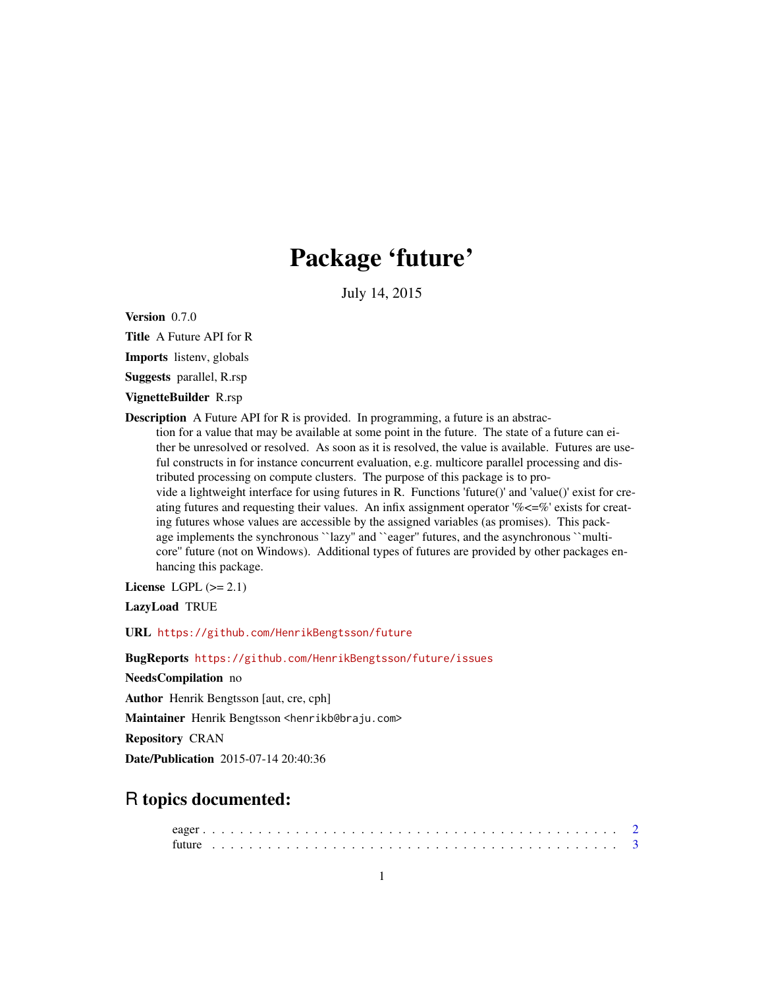## Package 'future'

July 14, 2015

<span id="page-0-0"></span>Version 0.7.0

Title A Future API for R

Imports listenv, globals

Suggests parallel, R.rsp

VignetteBuilder R.rsp

Description A Future API for R is provided. In programming, a future is an abstraction for a value that may be available at some point in the future. The state of a future can either be unresolved or resolved. As soon as it is resolved, the value is available. Futures are useful constructs in for instance concurrent evaluation, e.g. multicore parallel processing and distributed processing on compute clusters. The purpose of this package is to provide a lightweight interface for using futures in R. Functions 'future()' and 'value()' exist for creating futures and requesting their values. An infix assignment operator  $\% \leq \%$  exists for creating futures whose values are accessible by the assigned variables (as promises). This package implements the synchronous ``lazy'' and ``eager'' futures, and the asynchronous ``multicore'' future (not on Windows). Additional types of futures are provided by other packages enhancing this package.

License LGPL  $(>= 2.1)$ 

LazyLoad TRUE

URL <https://github.com/HenrikBengtsson/future>

BugReports <https://github.com/HenrikBengtsson/future/issues>

NeedsCompilation no

Author Henrik Bengtsson [aut, cre, cph]

Maintainer Henrik Bengtsson <henrikb@braju.com>

Repository CRAN

Date/Publication 2015-07-14 20:40:36

### R topics documented: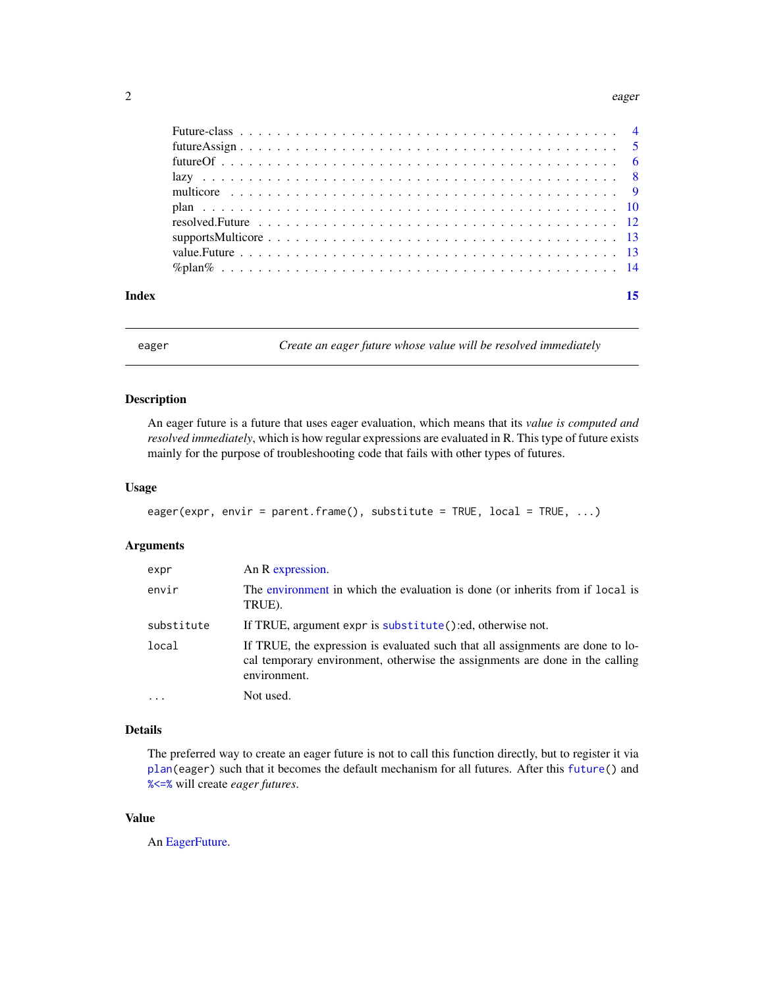#### <span id="page-1-0"></span> $2 \cos \theta$  eager

| Index |  |
|-------|--|
|       |  |

<span id="page-1-1"></span>

eager *Create an eager future whose value will be resolved immediately*

#### Description

An eager future is a future that uses eager evaluation, which means that its *value is computed and resolved immediately*, which is how regular expressions are evaluated in R. This type of future exists mainly for the purpose of troubleshooting code that fails with other types of futures.

#### Usage

```
eager(expr, envir = parent.frame(), substitute = TRUE, local = TRUE, ...)
```
#### Arguments

| expr       | An R expression.                                                                                                                                                               |
|------------|--------------------------------------------------------------------------------------------------------------------------------------------------------------------------------|
| envir      | The environment in which the evaluation is done (or inherits from if local is<br>TRUE).                                                                                        |
| substitute | If TRUE, argument expr is substitute():ed, otherwise not.                                                                                                                      |
| local      | If TRUE, the expression is evaluated such that all assignments are done to lo-<br>cal temporary environment, otherwise the assignments are done in the calling<br>environment. |
| $\cdots$   | Not used.                                                                                                                                                                      |

#### Details

The preferred way to create an eager future is not to call this function directly, but to register it via [plan\(](#page-9-1)eager) such that it becomes the default mechanism for all futures. After this [future\(](#page-2-1)) and [%<=%](#page-4-1) will create *eager futures*.

#### Value

An [EagerFuture.](#page-0-0)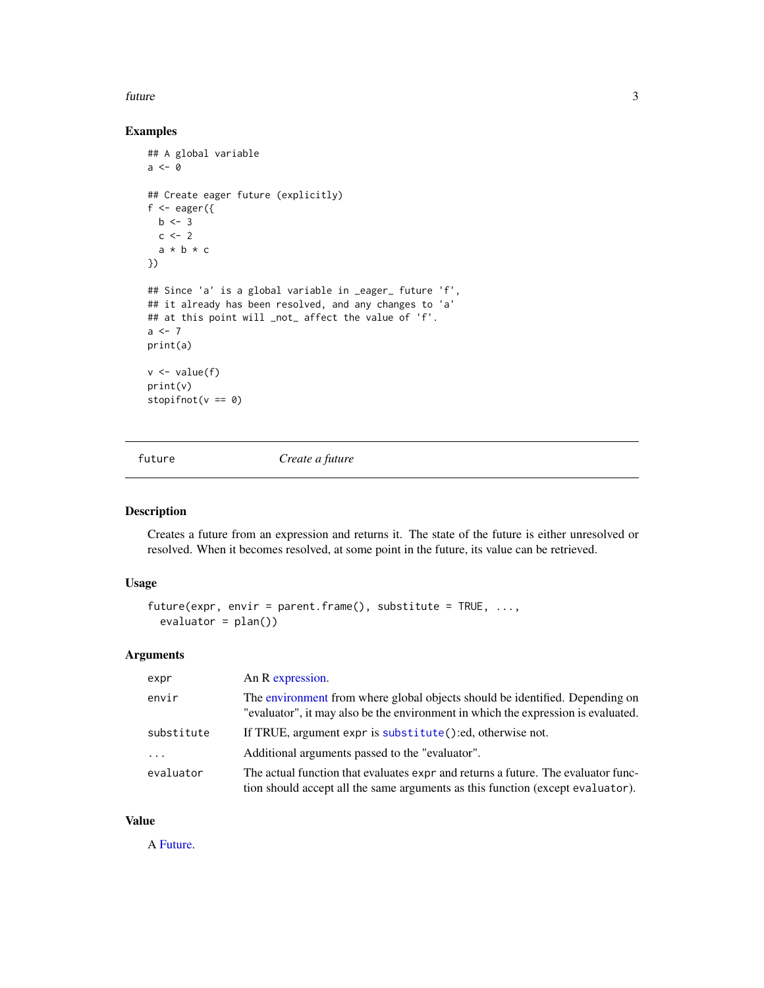#### <span id="page-2-0"></span>future 3

#### Examples

```
## A global variable
a \leftarrow 0## Create eager future (explicitly)
f \leftarrow eager({
  b \leq -3c \le -2a * b * c})
## Since 'a' is a global variable in _eager_ future 'f',
## it already has been resolved, and any changes to 'a'
## at this point will _not_ affect the value of 'f'.
a < -7print(a)
v \leftarrow value(f)
print(v)
stopifnot(v == 0)
```
<span id="page-2-1"></span>

future *Create a future*

#### Description

Creates a future from an expression and returns it. The state of the future is either unresolved or resolved. When it becomes resolved, at some point in the future, its value can be retrieved.

#### Usage

```
future(expr, envir = parent.frame(), substitute = TRUE, \dots,
 evaluator = plan()
```
#### Arguments

| expr       | An R expression.                                                                                                                                                    |
|------------|---------------------------------------------------------------------------------------------------------------------------------------------------------------------|
| envir      | The environment from where global objects should be identified. Depending on<br>"evaluator", it may also be the environment in which the expression is evaluated.   |
| substitute | If TRUE, argument expr is substitute():ed, otherwise not.                                                                                                           |
| $\cdots$   | Additional arguments passed to the "evaluator".                                                                                                                     |
| evaluator  | The actual function that evaluates expr and returns a future. The evaluator func-<br>tion should accept all the same arguments as this function (except evaluator). |

#### Value

A [Future.](#page-3-1)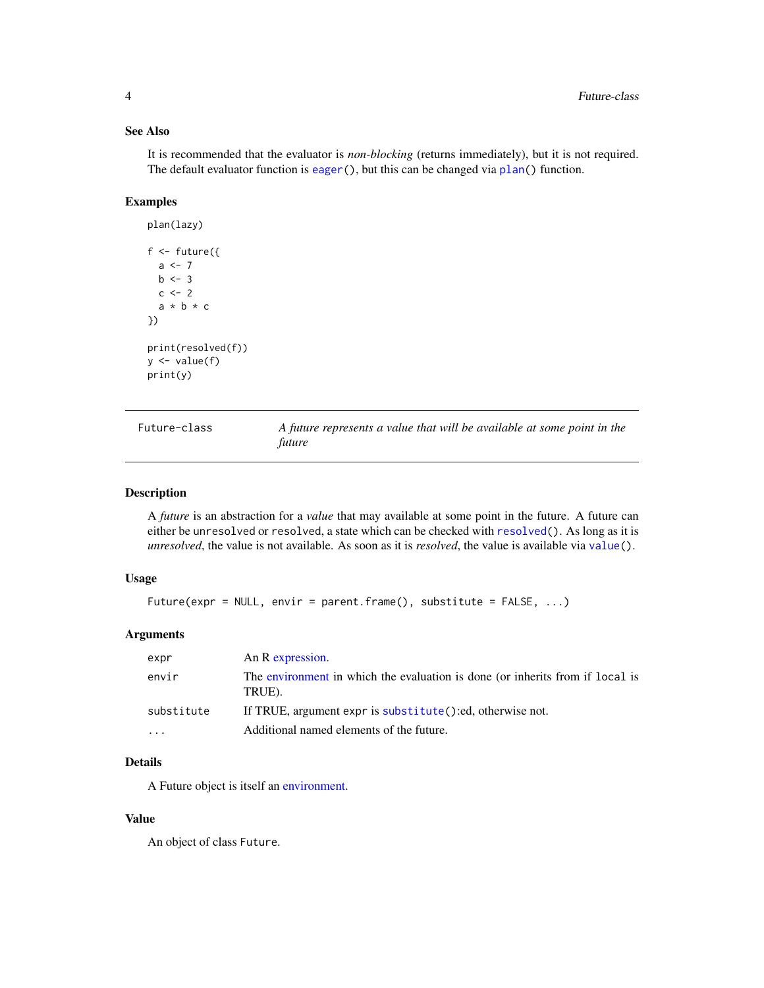#### See Also

It is recommended that the evaluator is *non-blocking* (returns immediately), but it is not required. The default evaluator function is [eager\(](#page-1-1)), but this can be changed via [plan\(](#page-9-1)) function.

#### Examples

```
plan(lazy)
f \leftarrow future({
  a <-7b \le -3c \le -2a * b * c})
print(resolved(f))
y \leftarrow value(f)
print(y)
```

| Future-class | A future represents a value that will be available at some point in the |
|--------------|-------------------------------------------------------------------------|
|              | future                                                                  |

#### <span id="page-3-1"></span>Description

A *future* is an abstraction for a *value* that may available at some point in the future. A future can either be unresolved or resolved, a state which can be checked with [resolved\(](#page-11-1)). As long as it is *unresolved*, the value is not available. As soon as it is *resolved*, the value is available via [value\(](#page-12-1)).

#### Usage

```
Future(expr = NULL, envir = parent.frame(), substitute = FALSE, ...)
```
#### Arguments

| expr       | An R expression.                                                                        |
|------------|-----------------------------------------------------------------------------------------|
| envir      | The environment in which the evaluation is done (or inherits from if local is<br>TRUE). |
| substitute | If TRUE, argument expr is substitute():ed, otherwise not.                               |
| $\cdots$   | Additional named elements of the future.                                                |

#### Details

A Future object is itself an [environment.](#page-0-0)

#### Value

An object of class Future.

<span id="page-3-0"></span>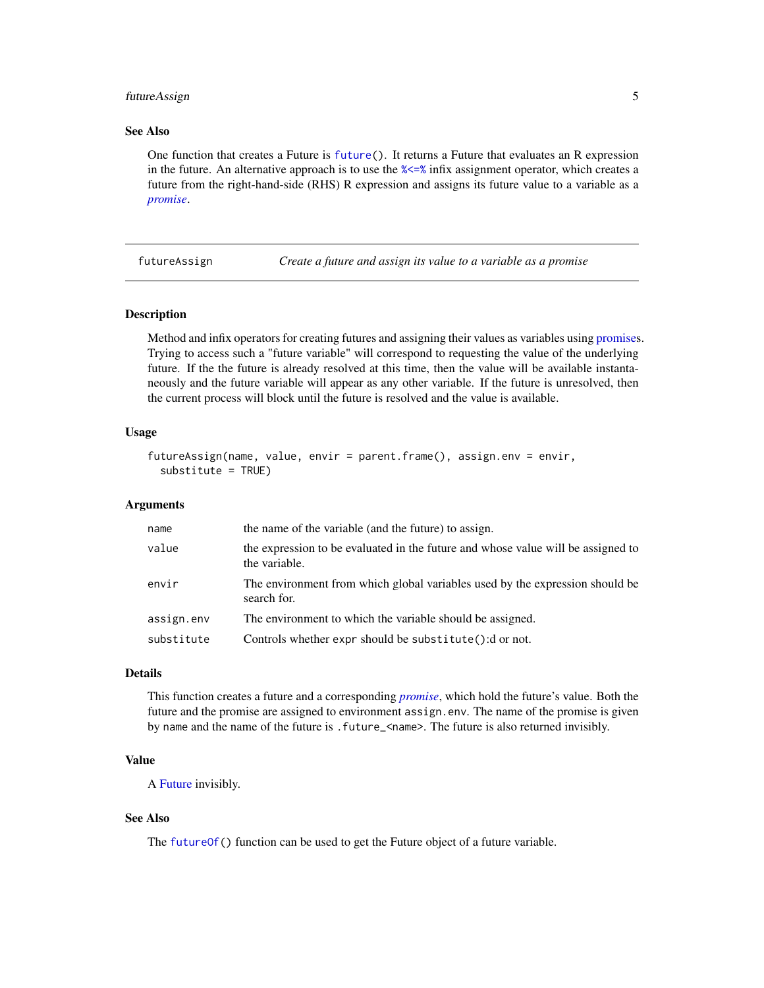#### <span id="page-4-0"></span>futureAssign 5

#### See Also

One function that creates a Future is [future\(](#page-2-1)). It returns a Future that evaluates an R expression in the future. An alternative approach is to use the  $\frac{2}{5}$  infix assignment operator, which creates a future from the right-hand-side (RHS) R expression and assigns its future value to a variable as a *[promise](#page-0-0)*.

futureAssign *Create a future and assign its value to a variable as a promise*

#### <span id="page-4-1"></span>Description

Method and infix operators for creating futures and assigning their values as variables using [promises](#page-0-0). Trying to access such a "future variable" will correspond to requesting the value of the underlying future. If the the future is already resolved at this time, then the value will be available instantaneously and the future variable will appear as any other variable. If the future is unresolved, then the current process will block until the future is resolved and the value is available.

#### Usage

```
futureAssign(name, value, envir = parent.frame(), assign.env = envir,
  substitute = TRUE)
```
#### Arguments

| the name of the variable (and the future) to assign.                                              |
|---------------------------------------------------------------------------------------------------|
| the expression to be evaluated in the future and whose value will be assigned to<br>the variable. |
| The environment from which global variables used by the expression should be<br>search for.       |
| The environment to which the variable should be assigned.                                         |
| Controls whether expr should be substitute(): d or not.                                           |
|                                                                                                   |

#### Details

This function creates a future and a corresponding *[promise](#page-0-0)*, which hold the future's value. Both the future and the promise are assigned to environment assign.env. The name of the promise is given by name and the name of the future is .future\_<name>. The future is also returned invisibly.

#### Value

A [Future](#page-3-1) invisibly.

#### See Also

The [futureOf\(](#page-5-1)) function can be used to get the Future object of a future variable.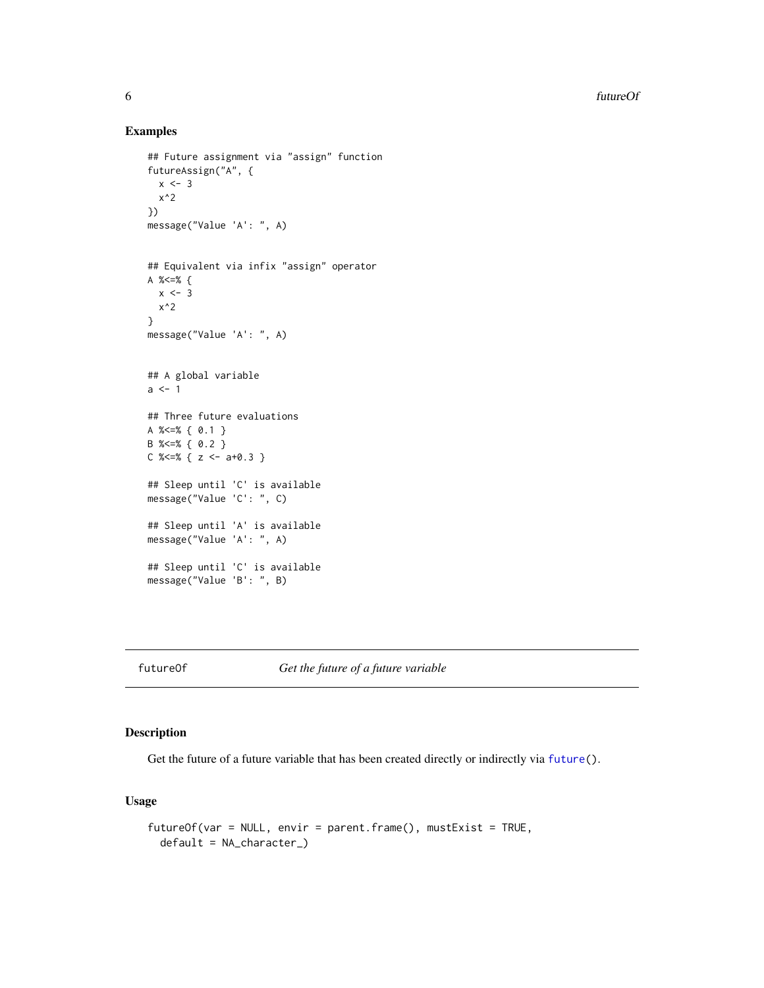#### Examples

```
## Future assignment via "assign" function
futureAssign("A", {
 x \le -3x^2
})
message("Value 'A': ", A)
## Equivalent via infix "assign" operator
A %<=% {
 x < -3x^2
}
message("Value 'A': ", A)
## A global variable
a < -1## Three future evaluations
A %<=% { 0.1 }
B %<=% { 0.2 }
C % \leq % { z \leq a+0.3 }
## Sleep until 'C' is available
message("Value 'C': ", C)
## Sleep until 'A' is available
message("Value 'A': ", A)
## Sleep until 'C' is available
message("Value 'B': ", B)
```
<span id="page-5-1"></span>futureOf *Get the future of a future variable*

#### Description

Get the future of a future variable that has been created directly or indirectly via [future\(](#page-2-1)).

#### Usage

```
futureOf(var = NULL, envir = parent.frame(), mustExist = TRUE,
  default = NA_character_)
```
<span id="page-5-0"></span>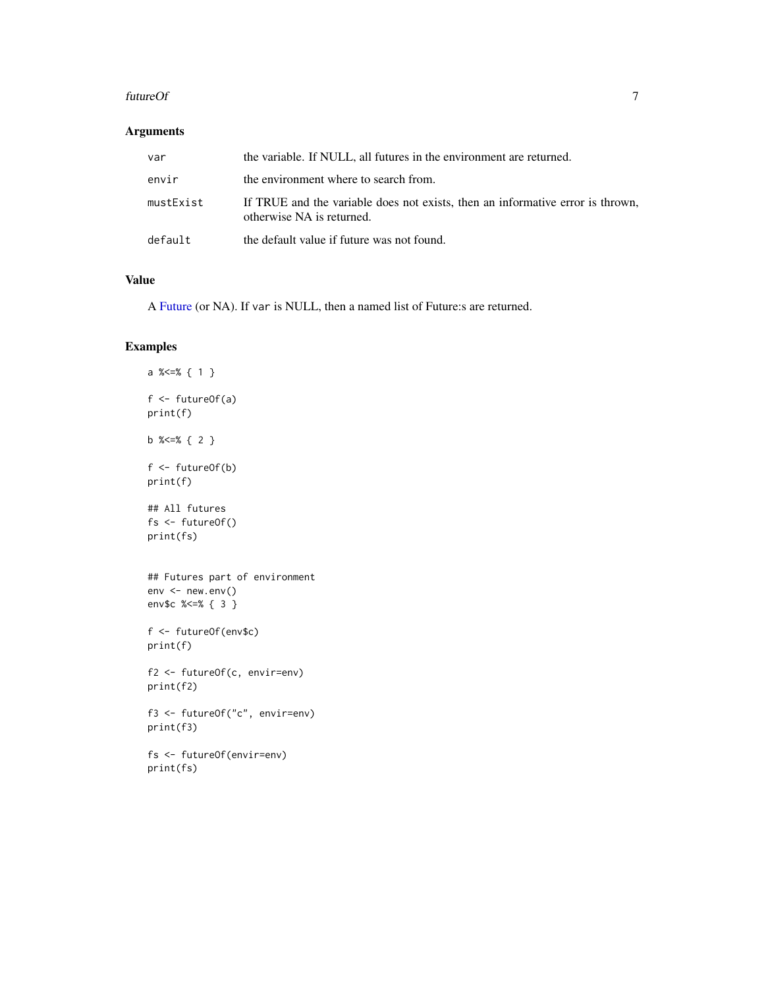#### <span id="page-6-0"></span>futureOf 7 and 7 and 7 and 7 and 7 and 7 and 7 and 7 and 7 and 7 and 7 and 7 and 7 and 7 and 7 and 7 and 7 and 7 and 7 and 7 and 7 and 7 and 7 and 7 and 7 and 7 and 7 and 7 and 7 and 7 and 7 and 7 and 7 and 7 and 7 and 7 a

#### Arguments

| var       | the variable. If NULL, all futures in the environment are returned.                                         |
|-----------|-------------------------------------------------------------------------------------------------------------|
| envir     | the environment where to search from.                                                                       |
| mustExist | If TRUE and the variable does not exists, then an informative error is thrown,<br>otherwise NA is returned. |
| default   | the default value if future was not found.                                                                  |

#### Value

A [Future](#page-3-1) (or NA). If var is NULL, then a named list of Future:s are returned.

#### Examples

```
a %<=% { 1 }
f <- futureOf(a)
print(f)
b %<=% { 2 }
f <- futureOf(b)
print(f)
## All futures
fs <- futureOf()
print(fs)
## Futures part of environment
env <- new.env()
env$c %<=% { 3 }
f <- futureOf(env$c)
print(f)
f2 <- futureOf(c, envir=env)
print(f2)
f3 <- futureOf("c", envir=env)
print(f3)
fs <- futureOf(envir=env)
print(fs)
```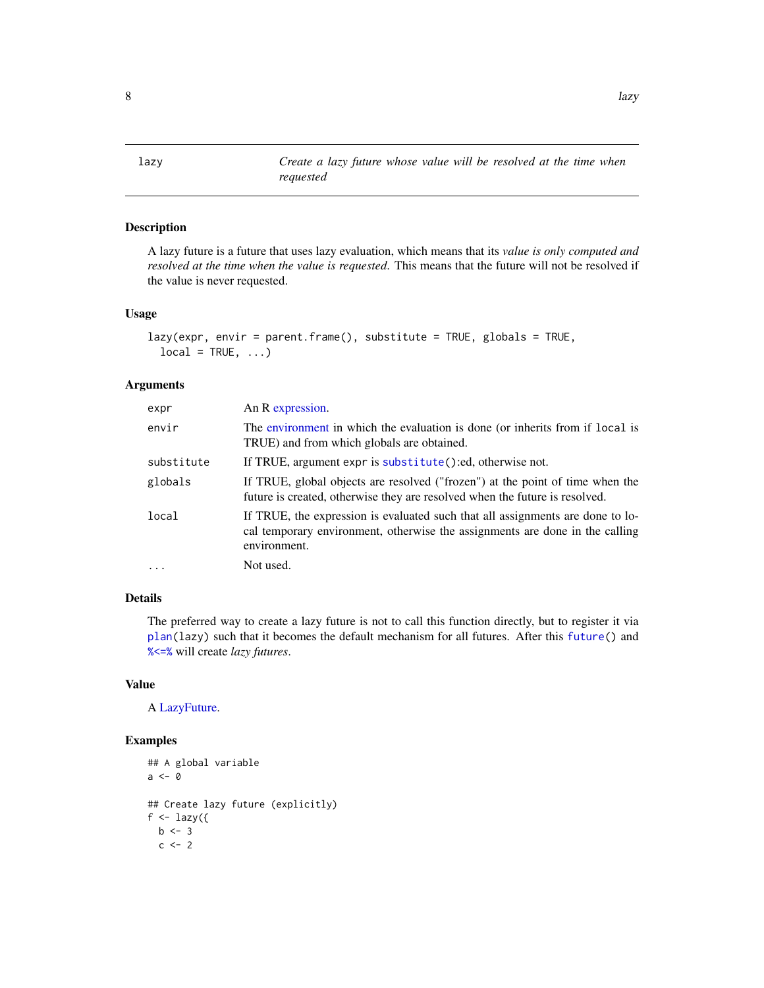<span id="page-7-1"></span><span id="page-7-0"></span>lazy *Create a lazy future whose value will be resolved at the time when requested*

#### Description

A lazy future is a future that uses lazy evaluation, which means that its *value is only computed and resolved at the time when the value is requested*. This means that the future will not be resolved if the value is never requested.

#### Usage

```
lazy(expr, envir = parent.frame(), substitute = TRUE, globals = TRUE,
  local = TRUE, ...)
```
#### Arguments

| expr       | An R expression.                                                                                                                                                               |
|------------|--------------------------------------------------------------------------------------------------------------------------------------------------------------------------------|
| envir      | The environment in which the evaluation is done (or inherits from if local is<br>TRUE) and from which globals are obtained.                                                    |
| substitute | If TRUE, argument expr is substitute():ed, otherwise not.                                                                                                                      |
| globals    | If TRUE, global objects are resolved ("frozen") at the point of time when the<br>future is created, otherwise they are resolved when the future is resolved.                   |
| local      | If TRUE, the expression is evaluated such that all assignments are done to lo-<br>cal temporary environment, otherwise the assignments are done in the calling<br>environment. |
| $\ddots$ . | Not used.                                                                                                                                                                      |
|            |                                                                                                                                                                                |

#### Details

The preferred way to create a lazy future is not to call this function directly, but to register it via [plan\(](#page-9-1)lazy) such that it becomes the default mechanism for all futures. After this [future\(](#page-2-1)) and [%<=%](#page-4-1) will create *lazy futures*.

#### Value

A [LazyFuture.](#page-0-0)

#### Examples

```
## A global variable
a <- 0
## Create lazy future (explicitly)
f \leftarrow \text{lazy}(\{b \leq -3c \le -2
```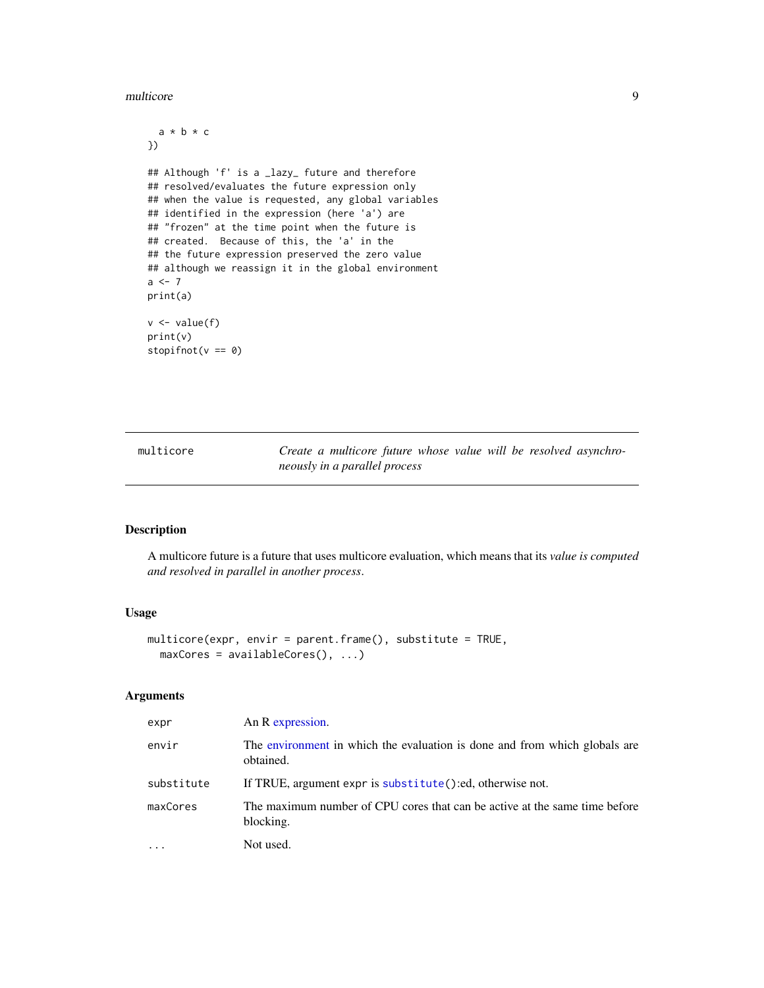#### <span id="page-8-0"></span>multicore e contra un provincia de la contra de la contra de la contra de la contra de la contra de la contra de la contra de la contra de la contra de la contra de la contra de la contra de la contra de la contra de la co

```
a * b * c
})
## Although 'f' is a _lazy_ future and therefore
## resolved/evaluates the future expression only
## when the value is requested, any global variables
## identified in the expression (here 'a') are
## "frozen" at the time point when the future is
## created. Because of this, the 'a' in the
## the future expression preserved the zero value
## although we reassign it in the global environment
a \le -7print(a)
v \leftarrow value(f)print(v)
stopifnot(v == 0)
```
<span id="page-8-1"></span>multicore *Create a multicore future whose value will be resolved asynchroneously in a parallel process*

#### Description

A multicore future is a future that uses multicore evaluation, which means that its *value is computed and resolved in parallel in another process*.

#### Usage

```
multicore(expr, envir = parent.frame(), substitute = TRUE,
 maxCores = availableCores(), ...)
```
#### Arguments

| expr       | An R expression.                                                                        |
|------------|-----------------------------------------------------------------------------------------|
| envir      | The environment in which the evaluation is done and from which globals are<br>obtained. |
| substitute | If TRUE, argument expr is substitute ():ed, otherwise not.                              |
| maxCores   | The maximum number of CPU cores that can be active at the same time before<br>blocking. |
| $\cdots$   | Not used.                                                                               |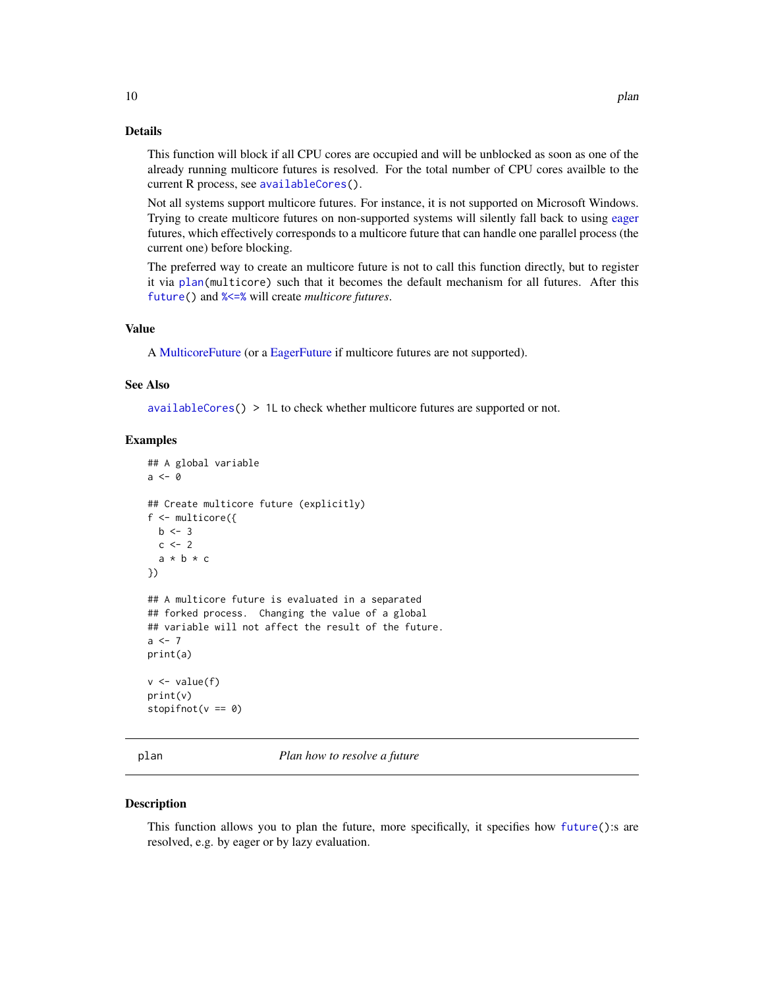#### <span id="page-9-0"></span>Details

This function will block if all CPU cores are occupied and will be unblocked as soon as one of the already running multicore futures is resolved. For the total number of CPU cores availble to the current R process, see [availableCores\(](#page-0-0)).

Not all systems support multicore futures. For instance, it is not supported on Microsoft Windows. Trying to create multicore futures on non-supported systems will silently fall back to using [eager](#page-1-1) futures, which effectively corresponds to a multicore future that can handle one parallel process (the current one) before blocking.

The preferred way to create an multicore future is not to call this function directly, but to register it via [plan\(](#page-9-1)multicore) such that it becomes the default mechanism for all futures. After this [future\(](#page-2-1)) and [%<=%](#page-4-1) will create *multicore futures*.

#### Value

A [MulticoreFuture](#page-0-0) (or a [EagerFuture](#page-0-0) if multicore futures are not supported).

#### See Also

[availableCores\(](#page-0-0)) > 1L to check whether multicore futures are supported or not.

#### Examples

```
## A global variable
a \leq -\theta## Create multicore future (explicitly)
f <- multicore({
 b \le -3c < -2a * b * c})
## A multicore future is evaluated in a separated
## forked process. Changing the value of a global
## variable will not affect the result of the future.
a < -7print(a)
v \leftarrow value(f)
print(v)
stopifnot(v == 0)
```
<span id="page-9-1"></span>

plan *Plan how to resolve a future*

#### Description

This function allows you to plan the future, more specifically, it specifies how [future\(](#page-2-1)):s are resolved, e.g. by eager or by lazy evaluation.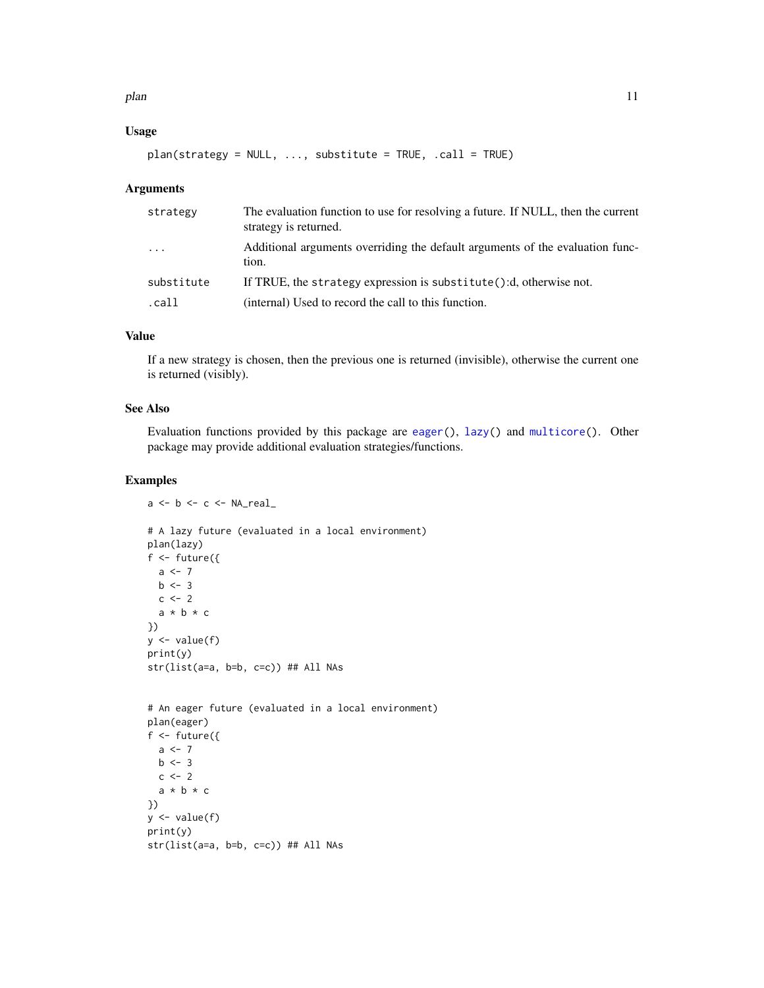<span id="page-10-0"></span>plan the contract of the contract of the contract of the contract of the contract of the contract of the contract of the contract of the contract of the contract of the contract of the contract of the contract of the contr

#### Usage

```
plan(strategy = NULL, ..., substitute = TRUE, .call = TRUE)
```
#### Arguments

| strategy                | The evaluation function to use for resolving a future. If NULL, then the current<br>strategy is returned. |
|-------------------------|-----------------------------------------------------------------------------------------------------------|
| $\cdot$ $\cdot$ $\cdot$ | Additional arguments overriding the default arguments of the evaluation func-<br>tion.                    |
| substitute              | If TRUE, the strategy expression is substitute():d, otherwise not.                                        |
| .call                   | (internal) Used to record the call to this function.                                                      |

#### Value

If a new strategy is chosen, then the previous one is returned (invisible), otherwise the current one is returned (visibly).

#### See Also

Evaluation functions provided by this package are [eager\(](#page-1-1)), [lazy\(](#page-7-1)) and [multicore\(](#page-8-1)). Other package may provide additional evaluation strategies/functions.

#### Examples

```
a \leftarrow b \leftarrow c \leftarrow \text{NA\_real\_}# A lazy future (evaluated in a local environment)
plan(lazy)
f \leftarrow future({
  a \leftarrow 7b \le -3c \le -2a * b * c
})
y \leftarrow value(f)print(y)
str(list(a=a, b=b, c=c)) ## All NAs
# An eager future (evaluated in a local environment)
plan(eager)
f \leftarrow future({
```

```
a \leftarrow 7b \le -3c \le -2a * b * c
})
y \leftarrow value(f)print(y)
str(list(a=a, b=b, c=c)) ## All NAs
```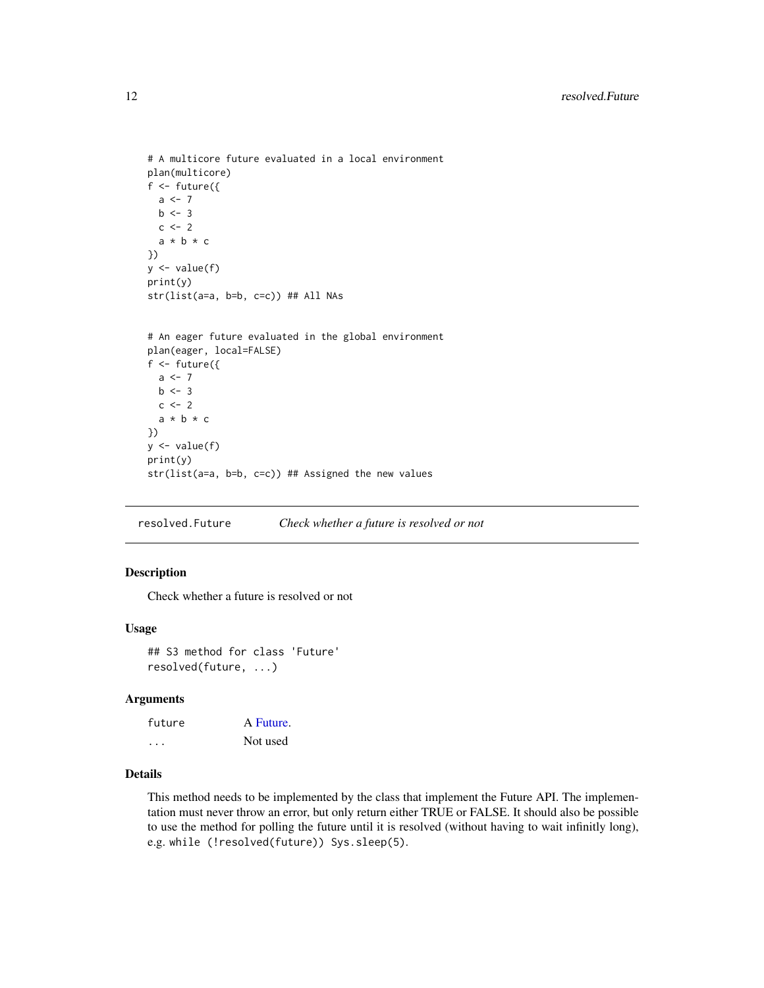```
# A multicore future evaluated in a local environment
plan(multicore)
f \leftarrow future({
  a \leftarrow 7b \le -3c \le -2a * b * c})
y <- value(f)
print(y)
str(list(a=a, b=b, c=c)) ## All NAs
# An eager future evaluated in the global environment
plan(eager, local=FALSE)
f <- future({
  a \leftarrow 7b \le -3c \le -2a * b * c})
y <- value(f)
print(y)
str(list(a=a, b=b, c=c)) ## Assigned the new values
```
resolved.Future *Check whether a future is resolved or not*

#### <span id="page-11-1"></span>Description

Check whether a future is resolved or not

#### Usage

```
## S3 method for class 'Future'
resolved(future, ...)
```
#### Arguments

| future   | A Future. |
|----------|-----------|
| $\cdots$ | Not used  |

#### Details

This method needs to be implemented by the class that implement the Future API. The implementation must never throw an error, but only return either TRUE or FALSE. It should also be possible to use the method for polling the future until it is resolved (without having to wait infinitly long), e.g. while (!resolved(future)) Sys.sleep(5).

<span id="page-11-0"></span>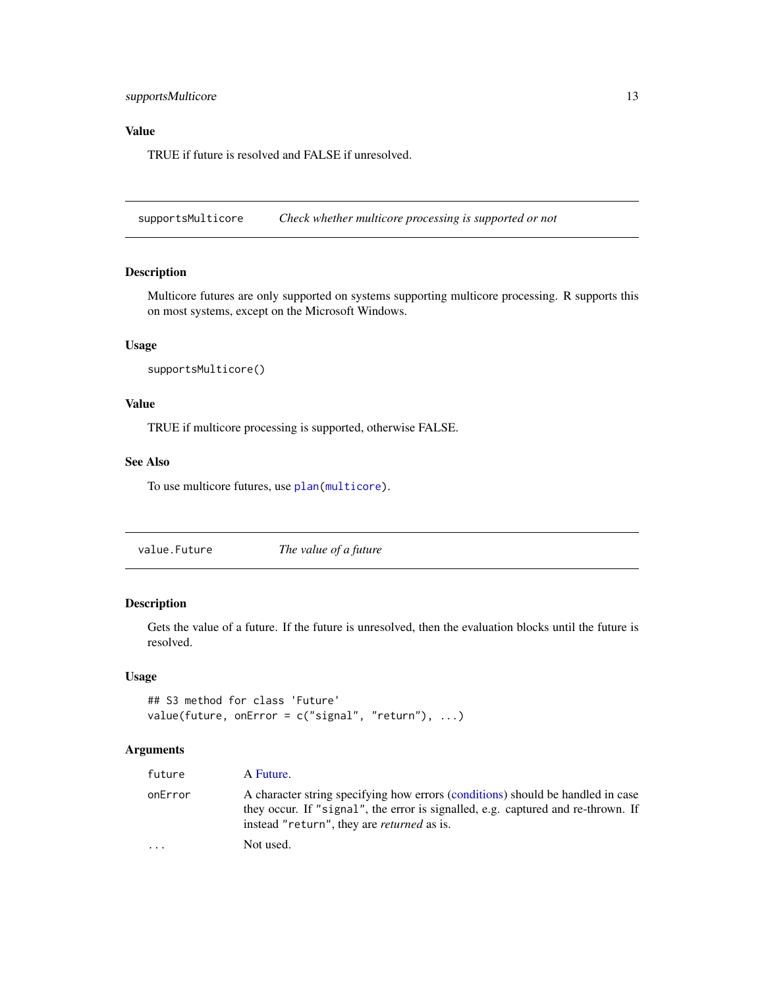#### <span id="page-12-0"></span>supportsMulticore 13

#### Value

TRUE if future is resolved and FALSE if unresolved.

supportsMulticore *Check whether multicore processing is supported or not*

#### Description

Multicore futures are only supported on systems supporting multicore processing. R supports this on most systems, except on the Microsoft Windows.

#### Usage

```
supportsMulticore()
```
#### Value

TRUE if multicore processing is supported, otherwise FALSE.

#### See Also

To use multicore futures, use [plan\(](#page-9-1)[multicore\)](#page-8-1).

value.Future *The value of a future*

#### <span id="page-12-1"></span>Description

Gets the value of a future. If the future is unresolved, then the evaluation blocks until the future is resolved.

#### Usage

```
## S3 method for class 'Future'
value(future, onError = c("signal", "return"), ...)
```
#### Arguments

| future  | A Future.                                                                                                                                                                                                                |
|---------|--------------------------------------------------------------------------------------------------------------------------------------------------------------------------------------------------------------------------|
| onError | A character string specifying how errors (conditions) should be handled in case<br>they occur. If "signal", the error is signalled, e.g. captured and re-thrown. If<br>instead "return", they are <i>returned</i> as is. |
| $\cdot$ | Not used.                                                                                                                                                                                                                |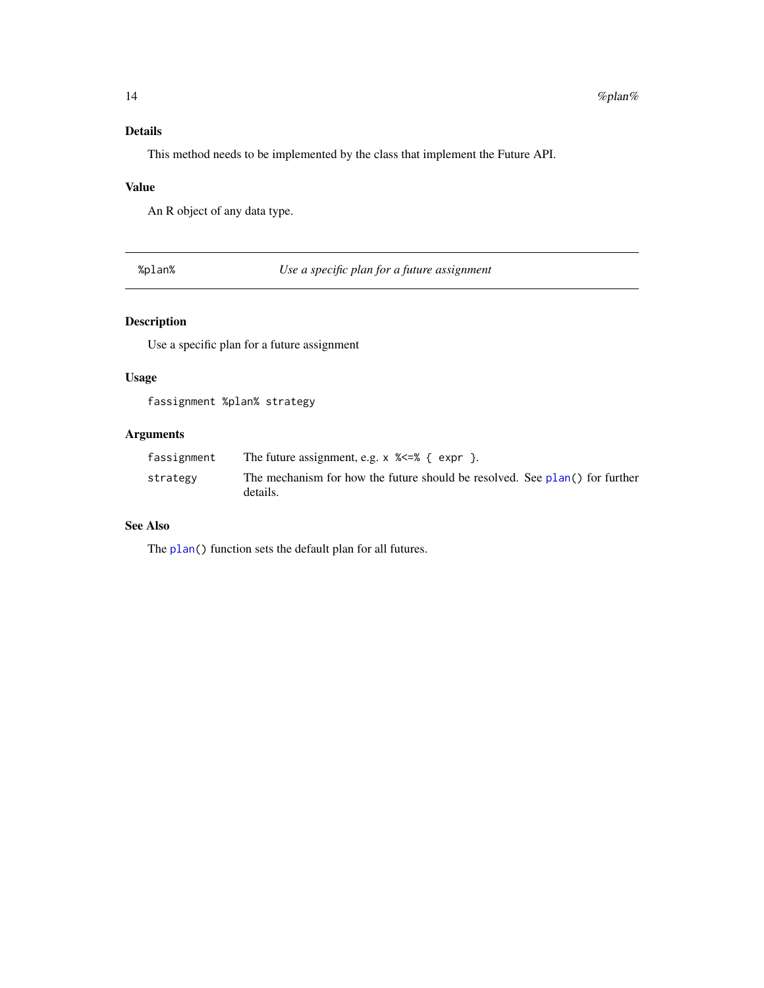#### <span id="page-13-0"></span>Details

This method needs to be implemented by the class that implement the Future API.

#### Value

An R object of any data type.

%plan% *Use a specific plan for a future assignment*

#### Description

Use a specific plan for a future assignment

#### Usage

fassignment %plan% strategy

#### Arguments

| fassignment | The future assignment, e.g. $\times$ $\ll$ = $\ll$ { expr }.                            |
|-------------|-----------------------------------------------------------------------------------------|
| strategy    | The mechanism for how the future should be resolved. See plan() for further<br>details. |

#### See Also

The [plan\(](#page-9-1)) function sets the default plan for all futures.